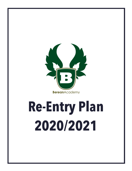

# **Re-Entry Plan 2020/2021**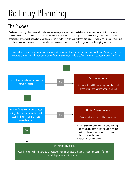## Re-Entry Planning

#### The Process

The Berean Academy School Board adopted a plan for re-entry to the campus for the fall of 2020. A committee consisting of parents, teachers, and healthcare professionals provided invaluable input leading to a strategy allowing for flexibility, transparency, and the prioritization of the health and safety of our school community. This re-entry plan will serve as a guide to welcoming our students and staff back to campus, but it is essential that all stakeholders understand that protocols will change based on developing conditions.

In consult with the re-entry committee, which includes guidance from our accreditation agency, Berean Academy is able to execute the reasonable physical campus modifications to support students safelyreturning to campus in the fall of 2020.

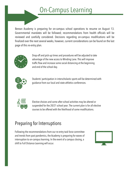Berean Academy is preparing for on-campus school operations to resume on August 13. Governmental mandates will be followed; recommendations from health officials will be reviewed and carefully considered. Decisions regarding on-campus modifications will be finalized over the next several weeks, however, current considerations can be found on the last page of this re-entry plan.



Drop-off and pick-up times and procedures will be adjusted to take advantage of the new access to Winding Lane. This will improve traffic flow and increase some social distancing at the beginning and end of the school day.



Students' participation in interscholastic sports will be determined with guidance from our local and state athletics conferences.



Elective choices and some after-school activities may be altered or suspended for the 20/21 school year. The current plan is for all elective courses to be offered with the likelihood of some modifications.

#### Preparing for Interruptions

Following the recommendations from our re-entry task force committee and trends from past pandemics, the Academy is preparing for waves of interruption to on-campus learning. In the event of a campus closing, a shift to Full Distance Learning will occur.

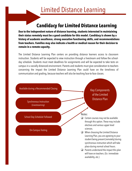#### **Candidacy for Limited Distance Learning**

**Due to the independent nature of distance learning, students interested in maintaining their status remotely must be a good candidate for this model. Candidacy is shown by a history of academic excellence, strong executive functioning skills, and recommendations from teachers. Families may also indicate a health or medical reason for their decision to remain in a remote capacity.**

The Limited Distance Learning Plan centers on providing distance learners access to classroom instruction. Students will be expected to view instruction through a livestream and follow the schoolday schedule. Students must meet deadlines for assignments and will be expected to take tests on campus in a socially distanced environment. Parents and students must give consideration to teachers concerning the impact the Limited Distance Learning Plan could have on the timeliness of communication and grading, because teachers will also be teaching face-to-face classes.

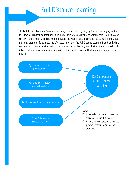### Full Distance Learning

The Full Distance Learning Plan does not change our mission of glorifying God bychallenging students to follow Jesus Christ, educating them in the wisdom of God as it applies academically, spiritually, and socially. In this model, we continue to educate the whole child, encourage the pursuit of individual passions, promote life balance, and offer academic rigor. The Full Distance Learning Plan blends daily synchronous (live) instruction with asynchronous (accessible anytime) instruction with a schedule intentionally designed to execute the mission of the school in the event that on-campuslearning cannot take place.

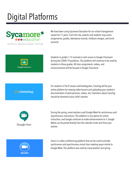### Digital Platforms



We have been using Sycamore Education for our school management system for 11 years. From this site, parents and students may access assignments, grades, attendance records, childcare charges, and lunch accounts.



Students in grades 1-12 received a crash course in Google Classroom during the COVID-19 pandemic. This platform will continue to be used by students in those grades. All class assignments, videos, and announcements will be housed in Google Classroom.



For students in Pre-K classes and kindergarten, ClassTag will be your online platform for viewing video lessons and uploading your student's documentation of work (pictures, videos, etc). Questions about ClassTag should be directed to your child's teacher.



During the spring, some teachers used Google Meet for synchronous and asynchronous instructions. This platform is one option for online instruction, and Google continues to make enhancements to it. Google Meets can be joined directly from the calendar invite sent from your teacher.



Zoom is a video conferencing platform that can be used to provide synchronous and asynchronous virtual class meeting space similar to Google Meet. This platform was used by manyteachers last spring.